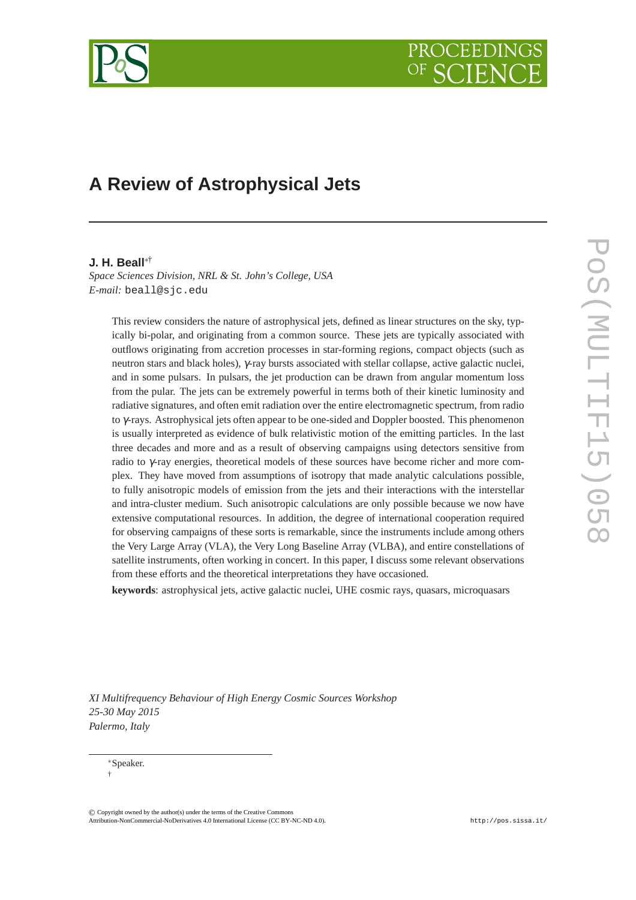

# **A Review of Astrophysical Jets**

### **J. H. Beall**∗†

*Space Sciences Division, NRL & St. John's College, USA E-mail:* beall@sjc.edu

This review considers the nature of astrophysical jets, defined as linear structures on the sky, typically bi-polar, and originating from a common source. These jets are typically associated with outflows originating from accretion processes in star-forming regions, compact objects (such as neutron stars and black holes), γ-ray bursts associated with stellar collapse, active galactic nuclei, and in some pulsars. In pulsars, the jet production can be drawn from angular momentum loss from the pular. The jets can be extremely powerful in terms both of their kinetic luminosity and radiative signatures, and often emit radiation over the entire electromagnetic spectrum, from radio to γ-rays. Astrophysical jets often appear to be one-sided and Doppler boosted. This phenomenon is usually interpreted as evidence of bulk relativistic motion of the emitting particles. In the last three decades and more and as a result of observing campaigns using detectors sensitive from radio to γ-ray energies, theoretical models of these sources have become richer and more complex. They have moved from assumptions of isotropy that made analytic calculations possible, to fully anisotropic models of emission from the jets and their interactions with the interstellar and intra-cluster medium. Such anisotropic calculations are only possible because we now have extensive computational resources. In addition, the degree of international cooperation required for observing campaigns of these sorts is remarkable, since the instruments include among others the Very Large Array (VLA), the Very Long Baseline Array (VLBA), and entire constellations of satellite instruments, often working in concert. In this paper, I discuss some relevant observations from these efforts and the theoretical interpretations they have occasioned.

**keywords**: astrophysical jets, active galactic nuclei, UHE cosmic rays, quasars, microquasars

*XI Multifrequency Behaviour of High Energy Cosmic Sources Workshop 25-30 May 2015 Palermo, Italy*

© c Copyright owned by the author(s) under the terms of the Creative Commons Copyright owned by the author(s) under the terms of the Creative Commons Attribution-NonCommercial-ShareAlike Licence. http://pos.sissa.it/ Attribution-NonCommercial-NoDerivatives 4.0 International License (CC BY-NC-ND 4.0).

<sup>∗</sup>Speaker. †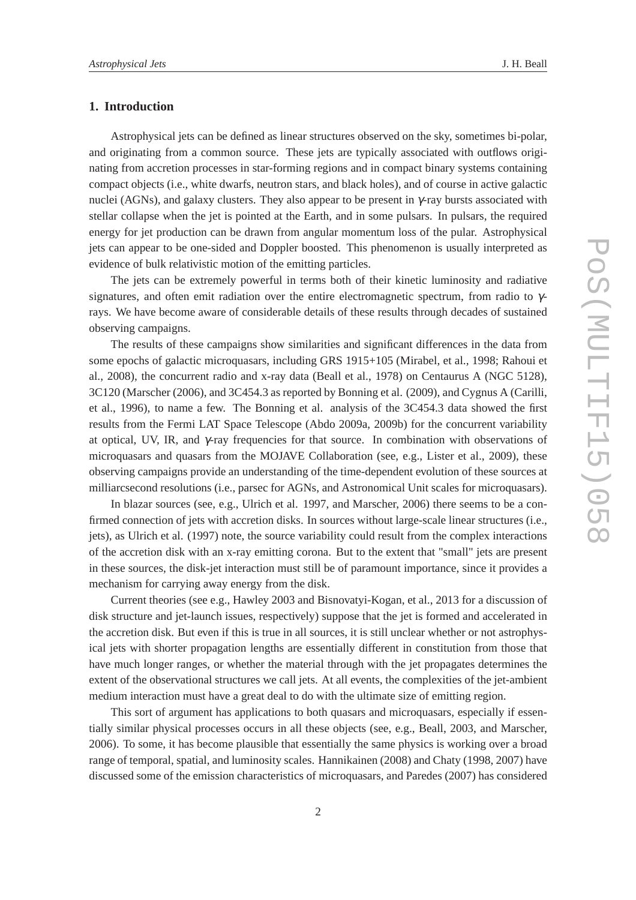### **1. Introduction**

Astrophysical jets can be defined as linear structures observed on the sky, sometimes bi-polar, and originating from a common source. These jets are typically associated with outflows originating from accretion processes in star-forming regions and in compact binary systems containing compact objects (i.e., white dwarfs, neutron stars, and black holes), and of course in active galactic nuclei (AGNs), and galaxy clusters. They also appear to be present in  $\gamma$ -ray bursts associated with stellar collapse when the jet is pointed at the Earth, and in some pulsars. In pulsars, the required energy for jet production can be drawn from angular momentum loss of the pular. Astrophysical jets can appear to be one-sided and Doppler boosted. This phenomenon is usually interpreted as evidence of bulk relativistic motion of the emitting particles.

The jets can be extremely powerful in terms both of their kinetic luminosity and radiative signatures, and often emit radiation over the entire electromagnetic spectrum, from radio to  $\gamma$ rays. We have become aware of considerable details of these results through decades of sustained observing campaigns.

The results of these campaigns show similarities and significant differences in the data from some epochs of galactic microquasars, including GRS 1915+105 (Mirabel, et al., 1998; Rahoui et al., 2008), the concurrent radio and x-ray data (Beall et al., 1978) on Centaurus A (NGC 5128), 3C120 (Marscher (2006), and 3C454.3 as reported by Bonning et al. (2009), and Cygnus A (Carilli, et al., 1996), to name a few. The Bonning et al. analysis of the 3C454.3 data showed the first results from the Fermi LAT Space Telescope (Abdo 2009a, 2009b) for the concurrent variability at optical, UV, IR, and γ-ray frequencies for that source. In combination with observations of microquasars and quasars from the MOJAVE Collaboration (see, e.g., Lister et al., 2009), these observing campaigns provide an understanding of the time-dependent evolution of these sources at milliarcsecond resolutions (i.e., parsec for AGNs, and Astronomical Unit scales for microquasars).

In blazar sources (see, e.g., Ulrich et al. 1997, and Marscher, 2006) there seems to be a confirmed connection of jets with accretion disks. In sources without large-scale linear structures (i.e., jets), as Ulrich et al. (1997) note, the source variability could result from the complex interactions of the accretion disk with an x-ray emitting corona. But to the extent that "small" jets are present in these sources, the disk-jet interaction must still be of paramount importance, since it provides a mechanism for carrying away energy from the disk.

Current theories (see e.g., Hawley 2003 and Bisnovatyi-Kogan, et al., 2013 for a discussion of disk structure and jet-launch issues, respectively) suppose that the jet is formed and accelerated in the accretion disk. But even if this is true in all sources, it is still unclear whether or not astrophysical jets with shorter propagation lengths are essentially different in constitution from those that have much longer ranges, or whether the material through with the jet propagates determines the extent of the observational structures we call jets. At all events, the complexities of the jet-ambient medium interaction must have a great deal to do with the ultimate size of emitting region.

This sort of argument has applications to both quasars and microquasars, especially if essentially similar physical processes occurs in all these objects (see, e.g., Beall, 2003, and Marscher, 2006). To some, it has become plausible that essentially the same physics is working over a broad range of temporal, spatial, and luminosity scales. Hannikainen (2008) and Chaty (1998, 2007) have discussed some of the emission characteristics of microquasars, and Paredes (2007) has considered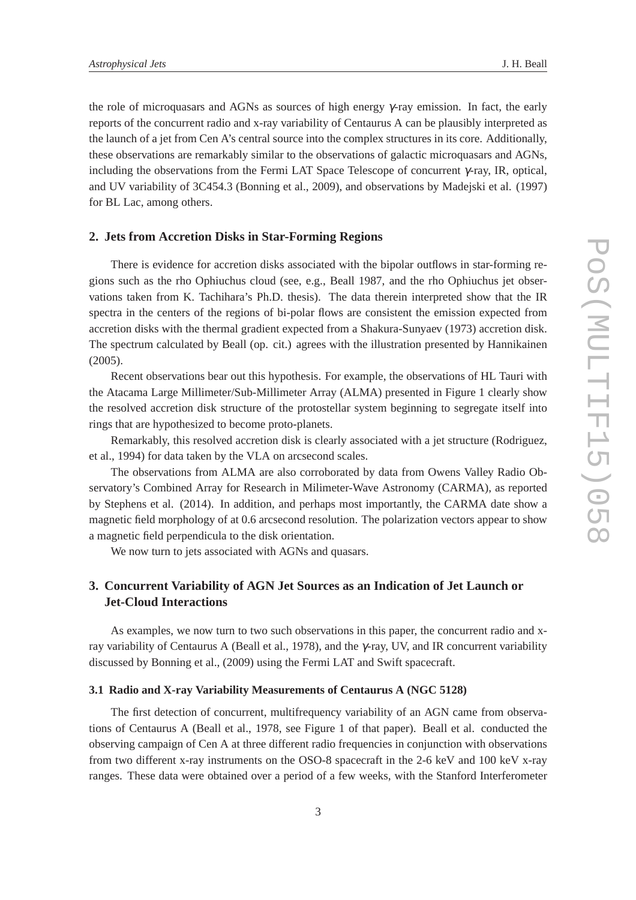the role of microquasars and AGNs as sources of high energy γ-ray emission. In fact, the early reports of the concurrent radio and x-ray variability of Centaurus A can be plausibly interpreted as the launch of a jet from Cen A's central source into the complex structures in its core. Additionally, these observations are remarkably similar to the observations of galactic microquasars and AGNs, including the observations from the Fermi LAT Space Telescope of concurrent  $\gamma$ -ray, IR, optical, and UV variability of 3C454.3 (Bonning et al., 2009), and observations by Madejski et al. (1997) for BL Lac, among others.

#### **2. Jets from Accretion Disks in Star-Forming Regions**

There is evidence for accretion disks associated with the bipolar outflows in star-forming regions such as the rho Ophiuchus cloud (see, e.g., Beall 1987, and the rho Ophiuchus jet observations taken from K. Tachihara's Ph.D. thesis). The data therein interpreted show that the IR spectra in the centers of the regions of bi-polar flows are consistent the emission expected from accretion disks with the thermal gradient expected from a Shakura-Sunyaev (1973) accretion disk. The spectrum calculated by Beall (op. cit.) agrees with the illustration presented by Hannikainen (2005).

Recent observations bear out this hypothesis. For example, the observations of HL Tauri with the Atacama Large Millimeter/Sub-Millimeter Array (ALMA) presented in Figure 1 clearly show the resolved accretion disk structure of the protostellar system beginning to segregate itself into rings that are hypothesized to become proto-planets.

Remarkably, this resolved accretion disk is clearly associated with a jet structure (Rodriguez, et al., 1994) for data taken by the VLA on arcsecond scales.

The observations from ALMA are also corroborated by data from Owens Valley Radio Observatory's Combined Array for Research in Milimeter-Wave Astronomy (CARMA), as reported by Stephens et al. (2014). In addition, and perhaps most importantly, the CARMA date show a magnetic field morphology of at 0.6 arcsecond resolution. The polarization vectors appear to show a magnetic field perpendicula to the disk orientation.

We now turn to jets associated with AGNs and quasars.

# **3. Concurrent Variability of AGN Jet Sources as an Indication of Jet Launch or Jet-Cloud Interactions**

As examples, we now turn to two such observations in this paper, the concurrent radio and xray variability of Centaurus A (Beall et al., 1978), and the γ-ray, UV, and IR concurrent variability discussed by Bonning et al., (2009) using the Fermi LAT and Swift spacecraft.

#### **3.1 Radio and X-ray Variability Measurements of Centaurus A (NGC 5128)**

The first detection of concurrent, multifrequency variability of an AGN came from observations of Centaurus A (Beall et al., 1978, see Figure 1 of that paper). Beall et al. conducted the observing campaign of Cen A at three different radio frequencies in conjunction with observations from two different x-ray instruments on the OSO-8 spacecraft in the 2-6 keV and 100 keV x-ray ranges. These data were obtained over a period of a few weeks, with the Stanford Interferometer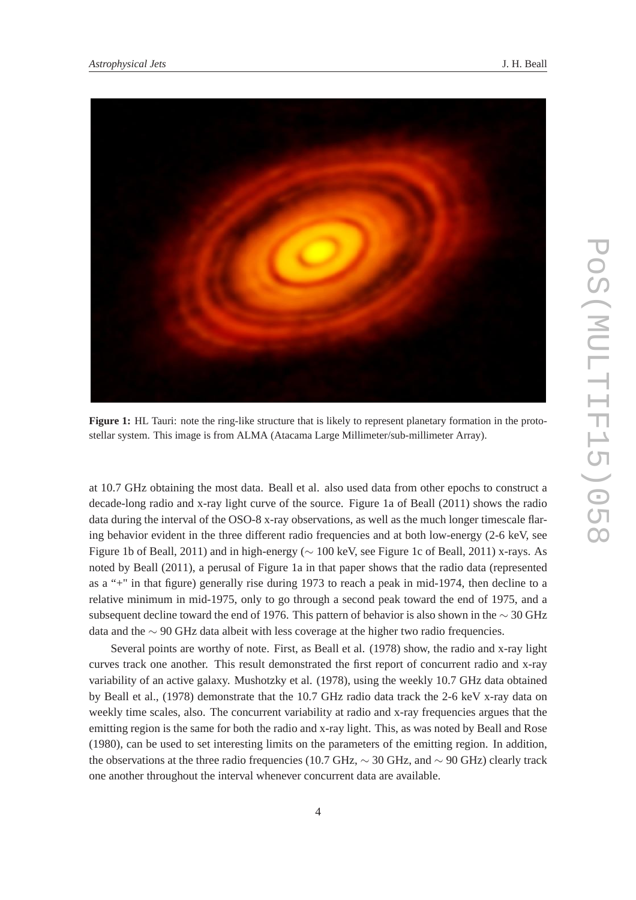

**Figure 1:** HL Tauri: note the ring-like structure that is likely to represent planetary formation in the protostellar system. This image is from ALMA (Atacama Large Millimeter/sub-millimeter Array).

at 10.7 GHz obtaining the most data. Beall et al. also used data from other epochs to construct a decade-long radio and x-ray light curve of the source. Figure 1a of Beall (2011) shows the radio data during the interval of the OSO-8 x-ray observations, as well as the much longer timescale flaring behavior evident in the three different radio frequencies and at both low-energy (2-6 keV, see Figure 1b of Beall, 2011) and in high-energy (∼ 100 keV, see Figure 1c of Beall, 2011) x-rays. As noted by Beall (2011), a perusal of Figure 1a in that paper shows that the radio data (represented as a "+" in that figure) generally rise during 1973 to reach a peak in mid-1974, then decline to a relative minimum in mid-1975, only to go through a second peak toward the end of 1975, and a subsequent decline toward the end of 1976. This pattern of behavior is also shown in the ∼ 30 GHz data and the ∼ 90 GHz data albeit with less coverage at the higher two radio frequencies.

Several points are worthy of note. First, as Beall et al. (1978) show, the radio and x-ray light curves track one another. This result demonstrated the first report of concurrent radio and x-ray variability of an active galaxy. Mushotzky et al. (1978), using the weekly 10.7 GHz data obtained by Beall et al., (1978) demonstrate that the 10.7 GHz radio data track the 2-6 keV x-ray data on weekly time scales, also. The concurrent variability at radio and x-ray frequencies argues that the emitting region is the same for both the radio and x-ray light. This, as was noted by Beall and Rose (1980), can be used to set interesting limits on the parameters of the emitting region. In addition, the observations at the three radio frequencies (10.7 GHz,  $\sim$  30 GHz, and  $\sim$  90 GHz) clearly track one another throughout the interval whenever concurrent data are available.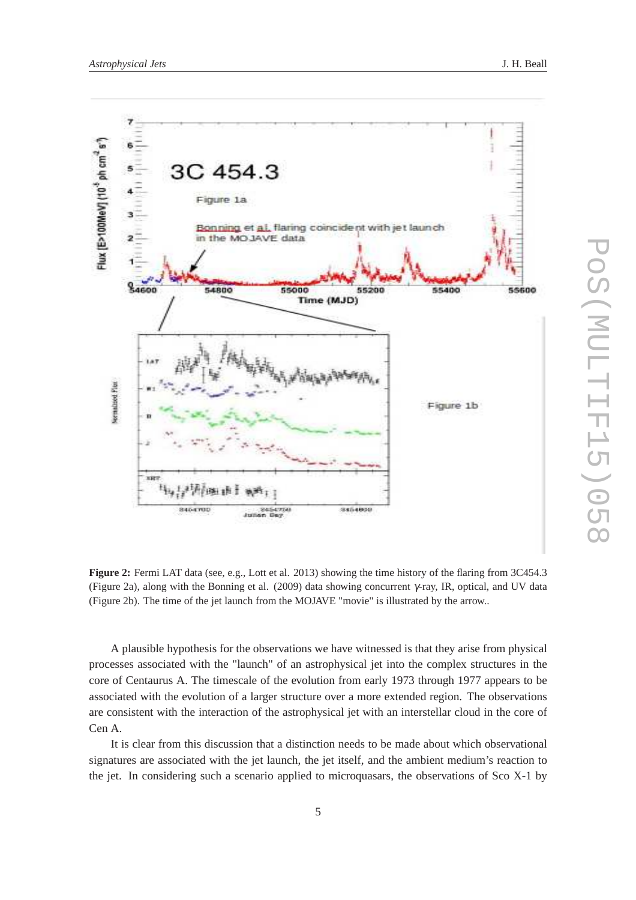

**Figure 2:** Fermi LAT data (see, e.g., Lott et al. 2013) showing the time history of the flaring from 3C454.3 (Figure 2a), along with the Bonning et al. (2009) data showing concurrent γ-ray, IR, optical, and UV data (Figure 2b). The time of the jet launch from the MOJAVE "movie" is illustrated by the arrow..

A plausible hypothesis for the observations we have witnessed is that they arise from physical processes associated with the "launch" of an astrophysical jet into the complex structures in the core of Centaurus A. The timescale of the evolution from early 1973 through 1977 appears to be associated with the evolution of a larger structure over a more extended region. The observations are consistent with the interaction of the astrophysical jet with an interstellar cloud in the core of Cen A.

It is clear from this discussion that a distinction needs to be made about which observational signatures are associated with the jet launch, the jet itself, and the ambient medium's reaction to the jet. In considering such a scenario applied to microquasars, the observations of Sco X-1 by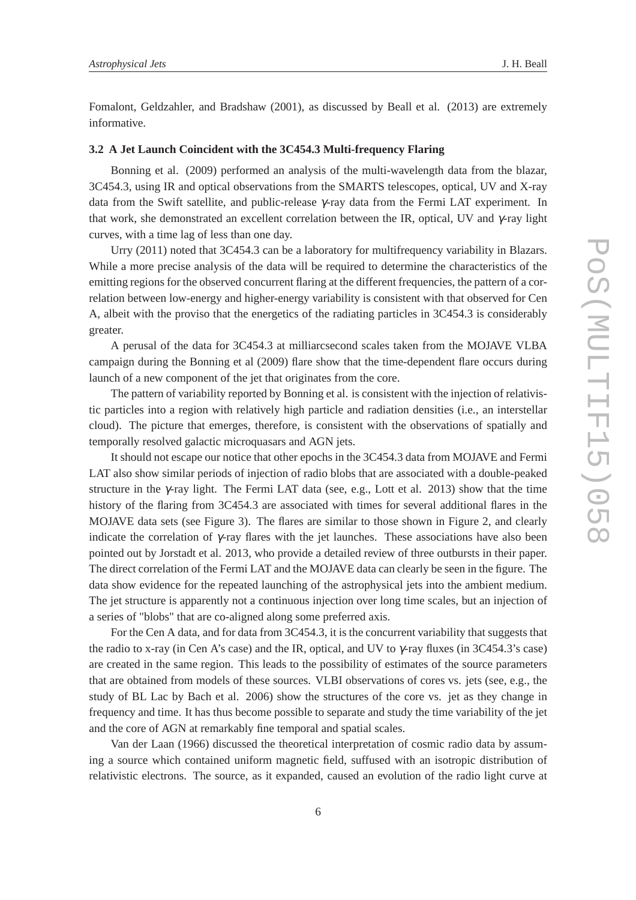Fomalont, Geldzahler, and Bradshaw (2001), as discussed by Beall et al. (2013) are extremely informative.

#### **3.2 A Jet Launch Coincident with the 3C454.3 Multi-frequency Flaring**

Bonning et al. (2009) performed an analysis of the multi-wavelength data from the blazar, 3C454.3, using IR and optical observations from the SMARTS telescopes, optical, UV and X-ray data from the Swift satellite, and public-release γ-ray data from the Fermi LAT experiment. In that work, she demonstrated an excellent correlation between the IR, optical, UV and  $\gamma$ -ray light curves, with a time lag of less than one day.

Urry (2011) noted that 3C454.3 can be a laboratory for multifrequency variability in Blazars. While a more precise analysis of the data will be required to determine the characteristics of the emitting regions for the observed concurrent flaring at the different frequencies, the pattern of a correlation between low-energy and higher-energy variability is consistent with that observed for Cen A, albeit with the proviso that the energetics of the radiating particles in 3C454.3 is considerably greater.

A perusal of the data for 3C454.3 at milliarcsecond scales taken from the MOJAVE VLBA campaign during the Bonning et al (2009) flare show that the time-dependent flare occurs during launch of a new component of the jet that originates from the core.

The pattern of variability reported by Bonning et al. is consistent with the injection of relativistic particles into a region with relatively high particle and radiation densities (i.e., an interstellar cloud). The picture that emerges, therefore, is consistent with the observations of spatially and temporally resolved galactic microquasars and AGN jets.

It should not escape our notice that other epochs in the 3C454.3 data from MOJAVE and Fermi LAT also show similar periods of injection of radio blobs that are associated with a double-peaked structure in the  $\gamma$ -ray light. The Fermi LAT data (see, e.g., Lott et al. 2013) show that the time history of the flaring from 3C454.3 are associated with times for several additional flares in the MOJAVE data sets (see Figure 3). The flares are similar to those shown in Figure 2, and clearly indicate the correlation of  $\gamma$ -ray flares with the jet launches. These associations have also been pointed out by Jorstadt et al. 2013, who provide a detailed review of three outbursts in their paper. The direct correlation of the Fermi LAT and the MOJAVE data can clearly be seen in the figure. The data show evidence for the repeated launching of the astrophysical jets into the ambient medium. The jet structure is apparently not a continuous injection over long time scales, but an injection of a series of "blobs" that are co-aligned along some preferred axis.

For the Cen A data, and for data from 3C454.3, it is the concurrent variability that suggests that the radio to x-ray (in Cen A's case) and the IR, optical, and UV to γ-ray fluxes (in 3C454.3's case) are created in the same region. This leads to the possibility of estimates of the source parameters that are obtained from models of these sources. VLBI observations of cores vs. jets (see, e.g., the study of BL Lac by Bach et al. 2006) show the structures of the core vs. jet as they change in frequency and time. It has thus become possible to separate and study the time variability of the jet and the core of AGN at remarkably fine temporal and spatial scales.

Van der Laan (1966) discussed the theoretical interpretation of cosmic radio data by assuming a source which contained uniform magnetic field, suffused with an isotropic distribution of relativistic electrons. The source, as it expanded, caused an evolution of the radio light curve at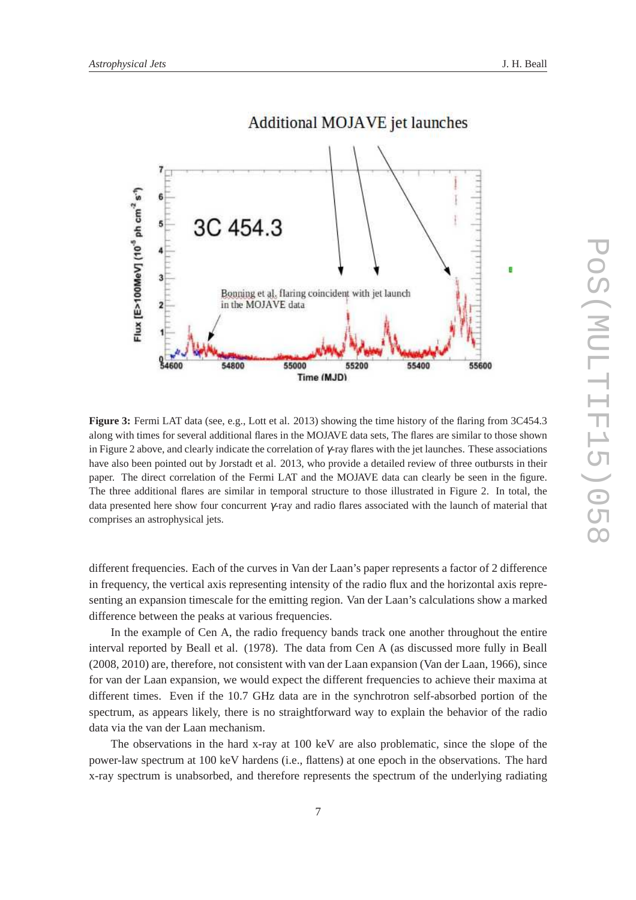

# **Additional MOJAVE jet launches**

**Figure 3:** Fermi LAT data (see, e.g., Lott et al. 2013) showing the time history of the flaring from 3C454.3 along with times for several additional flares in the MOJAVE data sets, The flares are similar to those shown in Figure 2 above, and clearly indicate the correlation of γ-ray flares with the jet launches. These associations have also been pointed out by Jorstadt et al. 2013, who provide a detailed review of three outbursts in their paper. The direct correlation of the Fermi LAT and the MOJAVE data can clearly be seen in the figure. The three additional flares are similar in temporal structure to those illustrated in Figure 2. In total, the data presented here show four concurrent γ-ray and radio flares associated with the launch of material that comprises an astrophysical jets.

different frequencies. Each of the curves in Van der Laan's paper represents a factor of 2 difference in frequency, the vertical axis representing intensity of the radio flux and the horizontal axis representing an expansion timescale for the emitting region. Van der Laan's calculations show a marked difference between the peaks at various frequencies.

In the example of Cen A, the radio frequency bands track one another throughout the entire interval reported by Beall et al. (1978). The data from Cen A (as discussed more fully in Beall (2008, 2010) are, therefore, not consistent with van der Laan expansion (Van der Laan, 1966), since for van der Laan expansion, we would expect the different frequencies to achieve their maxima at different times. Even if the 10.7 GHz data are in the synchrotron self-absorbed portion of the spectrum, as appears likely, there is no straightforward way to explain the behavior of the radio data via the van der Laan mechanism.

The observations in the hard x-ray at 100 keV are also problematic, since the slope of the power-law spectrum at 100 keV hardens (i.e., flattens) at one epoch in the observations. The hard x-ray spectrum is unabsorbed, and therefore represents the spectrum of the underlying radiating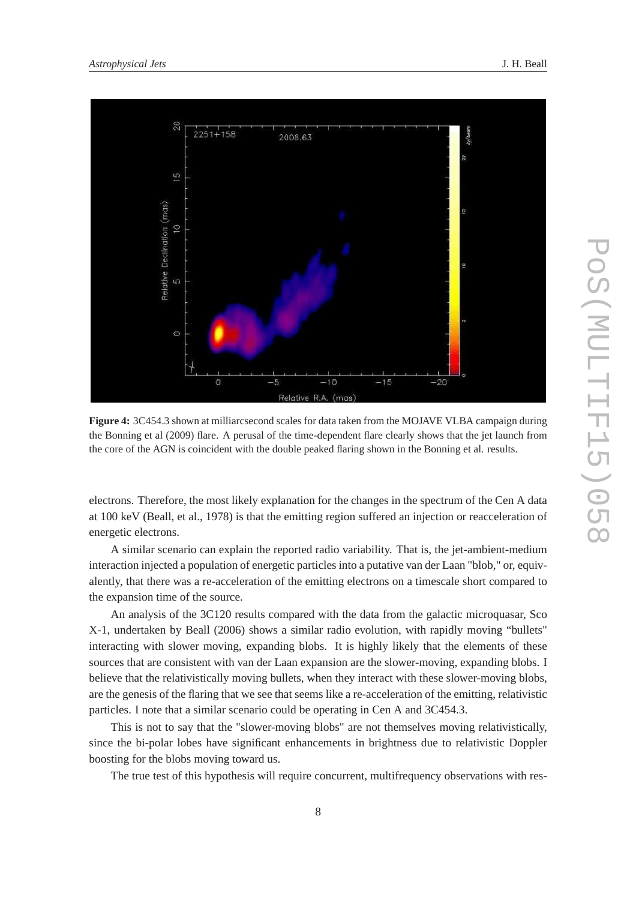

**Figure 4:** 3C454.3 shown at milliarcsecond scales for data taken from the MOJAVE VLBA campaign during the Bonning et al (2009) flare. A perusal of the time-dependent flare clearly shows that the jet launch from the core of the AGN is coincident with the double peaked flaring shown in the Bonning et al. results.

electrons. Therefore, the most likely explanation for the changes in the spectrum of the Cen A data at 100 keV (Beall, et al., 1978) is that the emitting region suffered an injection or reacceleration of energetic electrons.

A similar scenario can explain the reported radio variability. That is, the jet-ambient-medium interaction injected a population of energetic particles into a putative van der Laan "blob," or, equivalently, that there was a re-acceleration of the emitting electrons on a timescale short compared to the expansion time of the source.

An analysis of the 3C120 results compared with the data from the galactic microquasar, Sco X-1, undertaken by Beall (2006) shows a similar radio evolution, with rapidly moving "bullets" interacting with slower moving, expanding blobs. It is highly likely that the elements of these sources that are consistent with van der Laan expansion are the slower-moving, expanding blobs. I believe that the relativistically moving bullets, when they interact with these slower-moving blobs, are the genesis of the flaring that we see that seems like a re-acceleration of the emitting, relativistic particles. I note that a similar scenario could be operating in Cen A and 3C454.3.

This is not to say that the "slower-moving blobs" are not themselves moving relativistically, since the bi-polar lobes have significant enhancements in brightness due to relativistic Doppler boosting for the blobs moving toward us.

The true test of this hypothesis will require concurrent, multifrequency observations with res-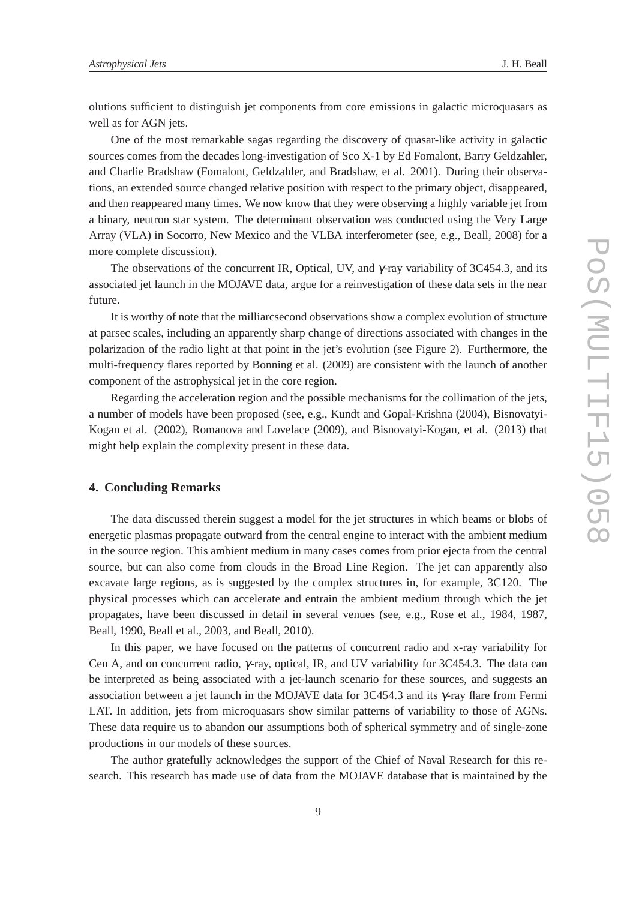olutions sufficient to distinguish jet components from core emissions in galactic microquasars as well as for AGN jets.

One of the most remarkable sagas regarding the discovery of quasar-like activity in galactic sources comes from the decades long-investigation of Sco X-1 by Ed Fomalont, Barry Geldzahler, and Charlie Bradshaw (Fomalont, Geldzahler, and Bradshaw, et al. 2001). During their observations, an extended source changed relative position with respect to the primary object, disappeared, and then reappeared many times. We now know that they were observing a highly variable jet from a binary, neutron star system. The determinant observation was conducted using the Very Large Array (VLA) in Socorro, New Mexico and the VLBA interferometer (see, e.g., Beall, 2008) for a more complete discussion).

The observations of the concurrent IR, Optical, UV, and  $\gamma$ -ray variability of 3C454.3, and its associated jet launch in the MOJAVE data, argue for a reinvestigation of these data sets in the near future.

It is worthy of note that the milliarcsecond observations show a complex evolution of structure at parsec scales, including an apparently sharp change of directions associated with changes in the polarization of the radio light at that point in the jet's evolution (see Figure 2). Furthermore, the multi-frequency flares reported by Bonning et al. (2009) are consistent with the launch of another component of the astrophysical jet in the core region.

Regarding the acceleration region and the possible mechanisms for the collimation of the jets, a number of models have been proposed (see, e.g., Kundt and Gopal-Krishna (2004), Bisnovatyi-Kogan et al. (2002), Romanova and Lovelace (2009), and Bisnovatyi-Kogan, et al. (2013) that might help explain the complexity present in these data.

## **4. Concluding Remarks**

The data discussed therein suggest a model for the jet structures in which beams or blobs of energetic plasmas propagate outward from the central engine to interact with the ambient medium in the source region. This ambient medium in many cases comes from prior ejecta from the central source, but can also come from clouds in the Broad Line Region. The jet can apparently also excavate large regions, as is suggested by the complex structures in, for example, 3C120. The physical processes which can accelerate and entrain the ambient medium through which the jet propagates, have been discussed in detail in several venues (see, e.g., Rose et al., 1984, 1987, Beall, 1990, Beall et al., 2003, and Beall, 2010).

In this paper, we have focused on the patterns of concurrent radio and x-ray variability for Cen A, and on concurrent radio, γ-ray, optical, IR, and UV variability for 3C454.3. The data can be interpreted as being associated with a jet-launch scenario for these sources, and suggests an association between a jet launch in the MOJAVE data for 3C454.3 and its  $\gamma$ -ray flare from Fermi LAT. In addition, jets from microquasars show similar patterns of variability to those of AGNs. These data require us to abandon our assumptions both of spherical symmetry and of single-zone productions in our models of these sources.

The author gratefully acknowledges the support of the Chief of Naval Research for this research. This research has made use of data from the MOJAVE database that is maintained by the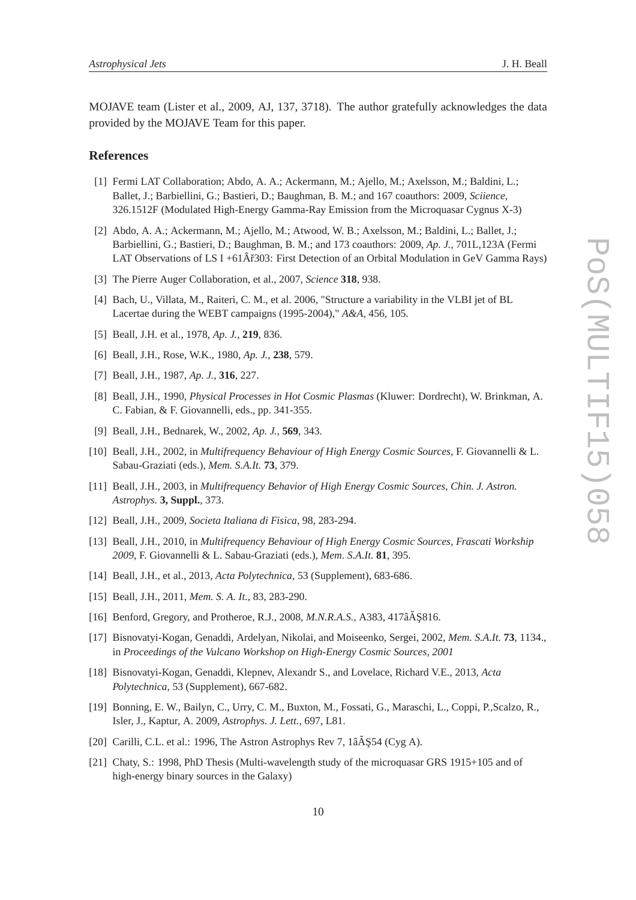MOJAVE team (Lister et al., 2009, AJ, 137, 3718). The author gratefully acknowledges the data provided by the MOJAVE Team for this paper.

#### **References**

- [1] Fermi LAT Collaboration; Abdo, A. A.; Ackermann, M.; Ajello, M.; Axelsson, M.; Baldini, L.; Ballet, J.; Barbiellini, G.; Bastieri, D.; Baughman, B. M.; and 167 coauthors: 2009, *Sciience*, 326.1512F (Modulated High-Energy Gamma-Ray Emission from the Microquasar Cygnus X-3)
- [2] Abdo, A. A.; Ackermann, M.; Ajello, M.; Atwood, W. B.; Axelsson, M.; Baldini, L.; Ballet, J.; Barbiellini, G.; Bastieri, D.; Baughman, B. M.; and 173 coauthors: 2009, *Ap. J.*, 701L,123A (Fermi LAT Observations of LS I +61 $\hat{A}$ ř303: First Detection of an Orbital Modulation in GeV Gamma Rays)
- [3] The Pierre Auger Collaboration, et al., 2007, *Science* **318**, 938.
- [4] Bach, U., Villata, M., Raiteri, C. M., et al. 2006, "Structure a variability in the VLBI jet of BL Lacertae during the WEBT campaigns (1995-2004)," *A&A*, 456, 105.
- [5] Beall, J.H. et al., 1978, *Ap. J.*, **219**, 836.
- [6] Beall, J.H., Rose, W.K., 1980, *Ap. J.*, **238**, 579.
- [7] Beall, J.H., 1987, *Ap. J.*, **316**, 227.
- [8] Beall, J.H., 1990, *Physical Processes in Hot Cosmic Plasmas* (Kluwer: Dordrecht), W. Brinkman, A. C. Fabian, & F. Giovannelli, eds., pp. 341-355.
- [9] Beall, J.H., Bednarek, W., 2002, *Ap. J.*, **569**, 343.
- [10] Beall, J.H., 2002, in *Multifrequency Behaviour of High Energy Cosmic Sources*, F. Giovannelli & L. Sabau-Graziati (eds.), *Mem. S.A.It.* **73**, 379.
- [11] Beall, J.H., 2003, in *Multifrequency Behavior of High Energy Cosmic Sources*, *Chin. J. Astron. Astrophys.* **3, Suppl.**, 373.
- [12] Beall, J.H., 2009, *Societa Italiana di Fisica*, 98, 283-294.
- [13] Beall, J.H., 2010, in *Multifrequency Behaviour of High Energy Cosmic Sources, Frascati Workship 2009*, F. Giovannelli & L. Sabau-Graziati (eds.), *Mem. S.A.It.* **81**, 395.
- [14] Beall, J.H., et al., 2013, *Acta Polytechnica*, 53 (Supplement), 683-686.
- [15] Beall, J.H., 2011, *Mem. S. A. It.*, 83, 283-290.
- [16] Benford, Gregory, and Protheroe, R.J., 2008, *M.N.R.A.S.*, A383, 417âA<sup>§</sup>\$16.
- [17] Bisnovatyi-Kogan, Genaddi, Ardelyan, Nikolai, and Moiseenko, Sergei, 2002, *Mem. S.A.It.* **73**, 1134., in *Proceedings of the Vulcano Workshop on High-Energy Cosmic Sources, 2001*
- [18] Bisnovatyi-Kogan, Genaddi, Klepnev, Alexandr S., and Lovelace, Richard V.E., 2013, *Acta Polytechnica*, 53 (Supplement), 667-682.
- [19] Bonning, E. W., Bailyn, C., Urry, C. M., Buxton, M., Fossati, G., Maraschi, L., Coppi, P.,Scalzo, R., Isler, J., Kaptur, A. 2009, *Astrophys. J. Lett.*, 697, L81.
- [20] Carilli, C.L. et al.: 1996, The Astron Astrophys Rev 7, 1âĂŞ54 (Cyg A).
- [21] Chaty, S.: 1998, PhD Thesis (Multi-wavelength study of the microquasar GRS 1915+105 and of high-energy binary sources in the Galaxy)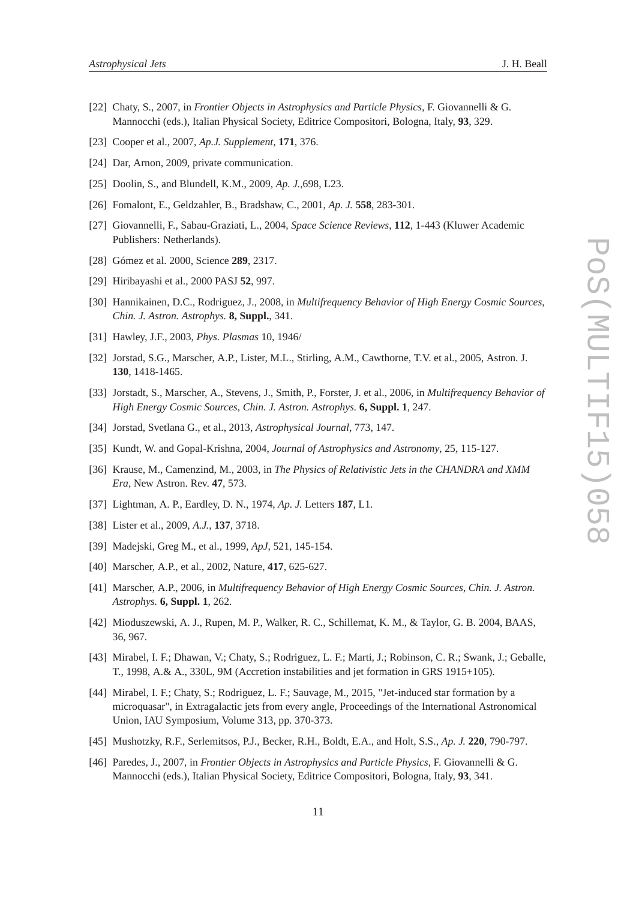- [22] Chaty, S., 2007, in *Frontier Objects in Astrophysics and Particle Physics*, F. Giovannelli & G. Mannocchi (eds.), Italian Physical Society, Editrice Compositori, Bologna, Italy, **93**, 329.
- [23] Cooper et al., 2007, *Ap.J. Supplement*, **171**, 376.
- [24] Dar, Arnon, 2009, private communication.
- [25] Doolin, S., and Blundell, K.M., 2009, *Ap. J.*,698, L23.
- [26] Fomalont, E., Geldzahler, B., Bradshaw, C., 2001, *Ap. J.* **558**, 283-301.
- [27] Giovannelli, F., Sabau-Graziati, L., 2004, *Space Science Reviews*, **112**, 1-443 (Kluwer Academic Publishers: Netherlands).
- [28] Gómez et al. 2000, Science **289**, 2317.
- [29] Hiribayashi et al., 2000 PASJ **52**, 997.
- [30] Hannikainen, D.C., Rodriguez, J., 2008, in *Multifrequency Behavior of High Energy Cosmic Sources*, *Chin. J. Astron. Astrophys.* **8, Suppl.**, 341.
- [31] Hawley, J.F., 2003, *Phys. Plasmas* 10, 1946/
- [32] Jorstad, S.G., Marscher, A.P., Lister, M.L., Stirling, A.M., Cawthorne, T.V. et al., 2005, Astron. J. **130**, 1418-1465.
- [33] Jorstadt, S., Marscher, A., Stevens, J., Smith, P., Forster, J. et al., 2006, in *Multifrequency Behavior of High Energy Cosmic Sources*, *Chin. J. Astron. Astrophys.* **6, Suppl. 1**, 247.
- [34] Jorstad, Svetlana G., et al., 2013, *Astrophysical Journal*, 773, 147.
- [35] Kundt, W. and Gopal-Krishna, 2004, *Journal of Astrophysics and Astronomy*, 25, 115-127.
- [36] Krause, M., Camenzind, M., 2003, in *The Physics of Relativistic Jets in the CHANDRA and XMM Era*, New Astron. Rev. **47**, 573.
- [37] Lightman, A. P., Eardley, D. N., 1974, *Ap. J.* Letters **187**, L1.
- [38] Lister et al., 2009, *A.J.*, **137**, 3718.
- [39] Madejski, Greg M., et al., 1999, *ApJ*, 521, 145-154.
- [40] Marscher, A.P., et al., 2002, Nature, **417**, 625-627.
- [41] Marscher, A.P., 2006, in *Multifrequency Behavior of High Energy Cosmic Sources*, *Chin. J. Astron. Astrophys.* **6, Suppl. 1**, 262.
- [42] Mioduszewski, A. J., Rupen, M. P., Walker, R. C., Schillemat, K. M., & Taylor, G. B. 2004, BAAS, 36, 967.
- [43] Mirabel, I. F.; Dhawan, V.; Chaty, S.; Rodriguez, L. F.; Marti, J.; Robinson, C. R.; Swank, J.; Geballe, T., 1998, A.& A., 330L, 9M (Accretion instabilities and jet formation in GRS 1915+105).
- [44] Mirabel, I. F.; Chaty, S.; Rodriguez, L. F.; Sauvage, M., 2015, "Jet-induced star formation by a microquasar", in Extragalactic jets from every angle, Proceedings of the International Astronomical Union, IAU Symposium, Volume 313, pp. 370-373.
- [45] Mushotzky, R.F., Serlemitsos, P.J., Becker, R.H., Boldt, E.A., and Holt, S.S., *Ap. J.* **220**, 790-797.
- [46] Paredes, J., 2007, in *Frontier Objects in Astrophysics and Particle Physics*, F. Giovannelli & G. Mannocchi (eds.), Italian Physical Society, Editrice Compositori, Bologna, Italy, **93**, 341.